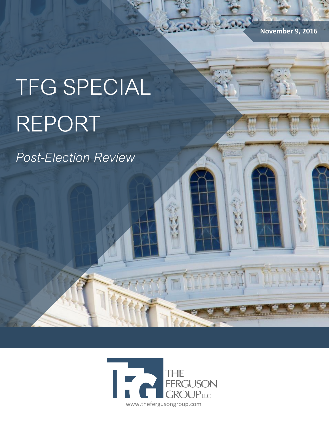**November 9, 2016**

# TFG SPECIAL REPORT

*Post-Election Review*

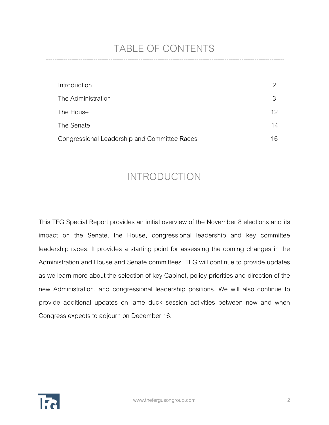# TABLE OF CONTENTS

| Introduction                                 |                 |
|----------------------------------------------|-----------------|
| The Administration                           | 3               |
| The House                                    | 12 <sup>°</sup> |
| The Senate                                   | 14              |
| Congressional Leadership and Committee Races | 16              |

## INTRODUCTION

This TFG Special Report provides an initial overview of the November 8 elections and its impact on the Senate, the House, congressional leadership and key committee leadership races. It provides a starting point for assessing the coming changes in the Administration and House and Senate committees. TFG will continue to provide updates as we learn more about the selection of key Cabinet, policy priorities and direction of the new Administration, and congressional leadership positions. We will also continue to provide additional updates on lame duck session activities between now and when Congress expects to adjourn on December 16.

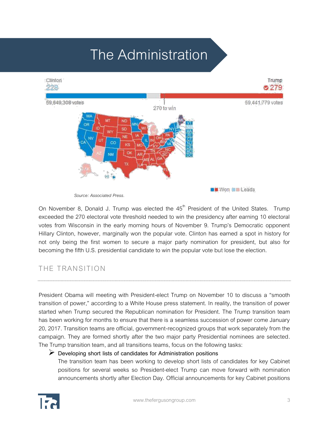# The Administration



 *Source: Associated Press.* 

On November 8, Donald J. Trump was elected the  $45<sup>th</sup>$  President of the United States. Trump exceeded the 270 electoral vote threshold needed to win the presidency after earning 10 electoral votes from Wisconsin in the early morning hours of November 9. Trump's Democratic opponent Hillary Clinton, however, marginally won the popular vote. Clinton has earned a spot in history for not only being the first women to secure a major party nomination for president, but also for becoming the fifth U.S. presidential candidate to win the popular vote but lose the election.

### THE TRANSITION

President Obama will meeting with President-elect Trump on November 10 to discuss a "smooth transition of power," according to a White House press statement. In reality, the transition of power started when Trump secured the Republican nomination for President. The Trump transition team has been working for months to ensure that there is a seamless succession of power come January 20, 2017. Transition teams are official, government-recognized groups that work separately from the campaign. They are formed shortly after the two major party Presidential nominees are selected. The Trump transition team, and all transitions teams, focus on the following tasks:

### **Developing short lists of candidates for Administration positions**

The transition team has been working to develop short lists of candidates for key Cabinet positions for several weeks so President-elect Trump can move forward with nomination announcements shortly after Election Day. Official announcements for key Cabinet positions

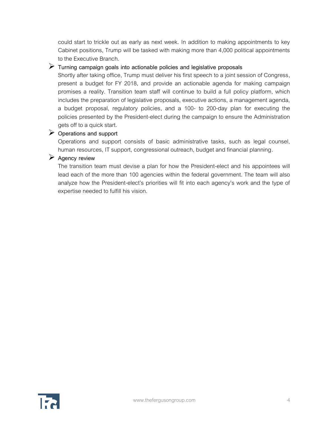could start to trickle out as early as next week. In addition to making appointments to key Cabinet positions, Trump will be tasked with making more than 4,000 political appointments to the Executive Branch.

### **Turning campaign goals into actionable policies and legislative proposals**

Shortly after taking office, Trump must deliver his first speech to a joint session of Congress, present a budget for FY 2018, and provide an actionable agenda for making campaign promises a reality. Transition team staff will continue to build a full policy platform, which includes the preparation of legislative proposals, executive actions, a management agenda, a budget proposal, regulatory policies, and a 100- to 200-day plan for executing the policies presented by the President-elect during the campaign to ensure the Administration gets off to a quick start.

### **Operations and support**

Operations and support consists of basic administrative tasks, such as legal counsel, human resources, IT support, congressional outreach, budget and financial planning.

### **Agency review**

The transition team must devise a plan for how the President-elect and his appointees will lead each of the more than 100 agencies within the federal government. The team will also analyze how the President-elect's priorities will fit into each agency's work and the type of expertise needed to fulfill his vision.

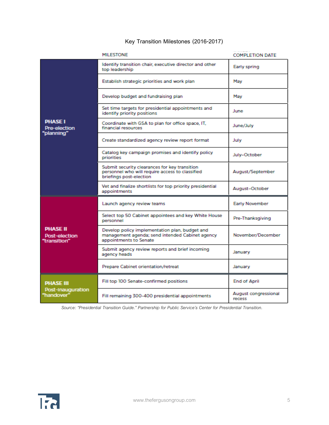### **Key Transition Milestones (2016-2017)**

|                                                     | <b>MILESTONE</b>                                                                                                            | <b>COMPLETION DATE</b>         |
|-----------------------------------------------------|-----------------------------------------------------------------------------------------------------------------------------|--------------------------------|
| <b>PHASE I</b><br><b>Pre-election</b><br>"planning" | Identify transition chair, executive director and other<br>top leadership                                                   | Early spring                   |
|                                                     | Establish strategic priorities and work plan                                                                                | Mav                            |
|                                                     | Develop budget and fundraising plan                                                                                         | May                            |
|                                                     | Set time targets for presidential appointments and<br>identify priority positions                                           | June                           |
|                                                     | Coordinate with GSA to plan for office space, IT,<br>financial resources                                                    | June/July                      |
|                                                     | Create standardized agency review report format                                                                             | July                           |
|                                                     | Catalog key campaign promises and identify policy<br>priorities                                                             | July-October                   |
|                                                     | Submit security clearances for key transition<br>personnel who will require access to classified<br>briefings post-election | August/September               |
|                                                     | Vet and finalize shortlists for top priority presidential<br>appointments                                                   | August-October                 |
| <b>PHASE II</b><br>Post-election<br>"transition"    | Launch agency review teams                                                                                                  | <b>Early November</b>          |
|                                                     | Select top 50 Cabinet appointees and key White House<br>personnel                                                           | Pre-Thanksgiving               |
|                                                     | Develop policy implementation plan, budget and<br>management agenda; send intended Cabinet agency<br>appointments to Senate | November/December              |
|                                                     | Submit agency review reports and brief incoming<br>agency heads                                                             | January                        |
|                                                     | Prepare Cabinet orientation/retreat                                                                                         | January                        |
| <b>PHASE III</b><br>Post-Inauguration<br>"handover" | Fill top 100 Senate-confirmed positions                                                                                     | <b>End of April</b>            |
|                                                     | Fill remaining 300-400 presidential appointments                                                                            | August congressional<br>recess |

 *Source: "Presidential Transition Guide." Partnership for Public Service's Center for Presidential Transition.*

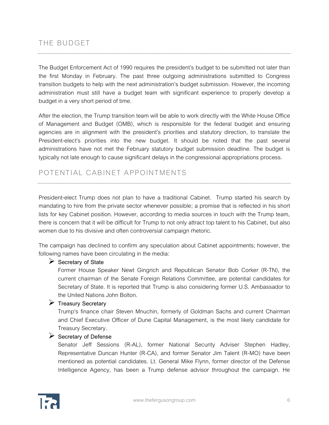The Budget Enforcement Act of 1990 requires the president's budget to be submitted not later than the first Monday in February. The past three outgoing administrations submitted to Congress transition budgets to help with the next administration's budget submission. However, the incoming administration must still have a budget team with significant experience to properly develop a budget in a very short period of time.

After the election, the Trump transition team will be able to work directly with the White House Office of Management and Budget (OMB), which is responsible for the federal budget and ensuring agencies are in alignment with the president's priorities and statutory direction, to translate the President-elect's priorities into the new budget. It should be noted that the past several administrations have not met the February statutory budget submission deadline. The budget is typically not late enough to cause significant delays in the congressional appropriations process.

### POTENTIAL CABINET APPOINTMENTS

President-elect Trump does not plan to have a traditional Cabinet. Trump started his search by mandating to hire from the private sector whenever possible; a promise that is reflected in his short lists for key Cabinet position. However, according to media sources in touch with the Trump team, there is concern that it will be difficult for Trump to not only attract top talent to his Cabinet, but also women due to his divisive and often controversial campaign rhetoric.

The campaign has declined to confirm any speculation about Cabinet appointments; however, the following names have been circulating in the media:

### **Secretary of State**

Former House Speaker Newt Gingrich and Republican Senator Bob Corker (R-TN), the current chairman of the Senate Foreign Relations Committee, are potential candidates for Secretary of State. It is reported that Trump is also considering former U.S. Ambassador to the United Nations John Bolton.

### **Treasury Secretary**

Trump's finance chair Steven Mnuchin, formerly of Goldman Sachs and current Chairman and Chief Executive Officer of Dune Capital Management, is the most likely candidate for Treasury Secretary.

### **Secretary of Defense**

Senator Jeff Sessions (R-AL), former National Security Adviser Stephen Hadley, Representative Duncan Hunter (R-CA), and former Senator Jim Talent (R-MO) have been mentioned as potential candidates. Lt. General Mike Flynn, former director of the Defense Intelligence Agency, has been a Trump defense advisor throughout the campaign. He

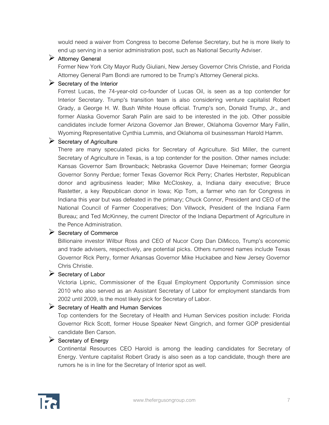would need a waiver from Congress to become Defense Secretary, but he is more likely to end up serving in a senior administration post, such as National Security Adviser.

### **Attorney General**

Former New York City Mayor Rudy Giuliani, New Jersey Governor Chris Christie, and Florida Attorney General Pam Bondi are rumored to be Trump's Attorney General picks.

### **Secretary of the Interior**

Forrest Lucas, the 74-year-old co-founder of Lucas Oil, is seen as a top contender for Interior Secretary. Trump's transition team is also considering venture capitalist Robert Grady, a George H. W. Bush White House official. Trump's son, Donald Trump, Jr., and former Alaska Governor Sarah Palin are said to be interested in the job. Other possible candidates include former Arizona Governor Jan Brewer, Oklahoma Governor Mary Fallin, Wyoming Representative Cynthia Lummis, and Oklahoma oil businessman Harold Hamm.

### **Secretary of Agriculture**

There are many speculated picks for Secretary of Agriculture. Sid Miller, the current Secretary of Agriculture in Texas, is a top contender for the position. Other names include: Kansas Governor Sam Brownback; Nebraska Governor Dave Heineman; former Georgia Governor Sonny Perdue; former Texas Governor Rick Perry; Charles Herbster, Republican donor and agribusiness leader; Mike McCloskey, a, Indiana dairy executive; Bruce Rastetter, a key Republican donor in Iowa; Kip Tom, a farmer who ran for Congress in Indiana this year but was defeated in the primary; Chuck Connor, President and CEO of the National Council of Farmer Cooperatives; Don Villwock, President of the Indiana Farm Bureau; and Ted McKinney, the current Director of the Indiana Department of Agriculture in the Pence Administration.

### **Secretary of Commerce**

Billionaire investor Wilbur Ross and CEO of Nucor Corp Dan DiMicco, Trump's economic and trade advisers, respectively, are potential picks. Others rumored names include Texas Governor Rick Perry, former Arkansas Governor Mike Huckabee and New Jersey Governor Chris Christie.

### **Secretary of Labor**

Victoria Lipnic, Commissioner of the Equal Employment Opportunity Commission since 2010 who also served as an Assistant Secretary of Labor for employment standards from 2002 until 2009, is the most likely pick for Secretary of Labor.

### **Secretary of Health and Human Services**

Top contenders for the Secretary of Health and Human Services position include: Florida Governor Rick Scott, former House Speaker Newt Gingrich, and former GOP presidential candidate Ben Carson.

### **Secretary of Energy**

Continental Resources CEO Harold is among the leading candidates for Secretary of Energy. Venture capitalist Robert Grady is also seen as a top candidate, though there are rumors he is in line for the Secretary of Interior spot as well.

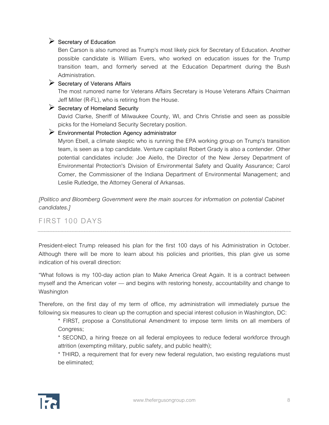### Secretary of Education

Ben Carson is also rumored as Trump's most likely pick for Secretary of Education. Another possible candidate is William Evers, who worked on education issues for the Trump transition team, and formerly served at the Education Department during the Bush Administration.

### **Secretary of Veterans Affairs**

The most rumored name for Veterans Affairs Secretary is House Veterans Affairs Chairman Jeff Miller (R-FL), who is retiring from the House.

### **Secretary of Homeland Security**

David Clarke, Sheriff of Milwaukee County, WI, and Chris Christie and seen as possible picks for the Homeland Security Secretary position.

### **Environmental Protection Agency administrator**

Myron Ebell, a climate skeptic who is running the EPA working group on Trump's transition team, is seen as a top candidate. Venture capitalist Robert Grady is also a contender. Other potential candidates include: Joe Aiello, the Director of the New Jersey Department of Environmental Protection's Division of Environmental Safety and Quality Assurance; Carol Comer, the Commissioner of the Indiana Department of Environmental Management; and Leslie Rutledge, the Attorney General of Arkansas.

*[Politico and Bloomberg Government were the main sources for information on potential Cabinet candidates.]* 

### FIRST 100 DAYS

President-elect Trump released his plan for the first 100 days of his Administration in October. Although there will be more to learn about his policies and priorities, this plan give us some indication of his overall direction:

"What follows is my 100-day action plan to Make America Great Again. It is a contract between myself and the American voter — and begins with restoring honesty, accountability and change to Washington

Therefore, on the first day of my term of office, my administration will immediately pursue the following six measures to clean up the corruption and special interest collusion in Washington, DC:

\* FIRST, propose a Constitutional Amendment to impose term limits on all members of Congress;

\* SECOND, a hiring freeze on all federal employees to reduce federal workforce through attrition (exempting military, public safety, and public health);

\* THIRD, a requirement that for every new federal regulation, two existing regulations must be eliminated;

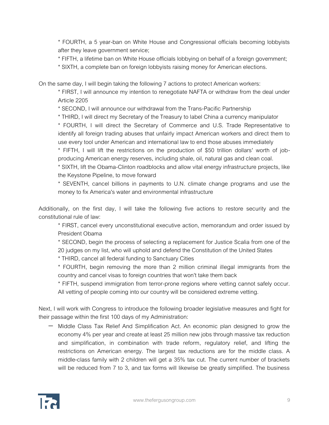\* FOURTH, a 5 year-ban on White House and Congressional officials becoming lobbyists after they leave government service;

\* FIFTH, a lifetime ban on White House officials lobbying on behalf of a foreign government;

\* SIXTH, a complete ban on foreign lobbyists raising money for American elections.

On the same day, I will begin taking the following 7 actions to protect American workers:

\* FIRST, I will announce my intention to renegotiate NAFTA or withdraw from the deal under Article 2205

\* SECOND, I will announce our withdrawal from the Trans-Pacific Partnership

\* THIRD, I will direct my Secretary of the Treasury to label China a currency manipulator

\* FOURTH, I will direct the Secretary of Commerce and U.S. Trade Representative to identify all foreign trading abuses that unfairly impact American workers and direct them to use every tool under American and international law to end those abuses immediately

\* FIFTH, I will lift the restrictions on the production of \$50 trillion dollars' worth of jobproducing American energy reserves, including shale, oil, natural gas and clean coal.

\* SIXTH, lift the Obama-Clinton roadblocks and allow vital energy infrastructure projects, like the Keystone Pipeline, to move forward

\* SEVENTH, cancel billions in payments to U.N. climate change programs and use the money to fix America's water and environmental infrastructure

Additionally, on the first day, I will take the following five actions to restore security and the constitutional rule of law:

\* FIRST, cancel every unconstitutional executive action, memorandum and order issued by President Obama

\* SECOND, begin the process of selecting a replacement for Justice Scalia from one of the 20 judges on my list, who will uphold and defend the Constitution of the United States

\* THIRD, cancel all federal funding to Sanctuary Cities

\* FOURTH, begin removing the more than 2 million criminal illegal immigrants from the country and cancel visas to foreign countries that won't take them back

\* FIFTH, suspend immigration from terror-prone regions where vetting cannot safely occur. All vetting of people coming into our country will be considered extreme vetting.

Next, I will work with Congress to introduce the following broader legislative measures and fight for their passage within the first 100 days of my Administration:

 Middle Class Tax Relief And Simplification Act. An economic plan designed to grow the economy 4% per year and create at least 25 million new jobs through massive tax reduction and simplification, in combination with trade reform, regulatory relief, and lifting the restrictions on American energy. The largest tax reductions are for the middle class. A middle-class family with 2 children will get a 35% tax cut. The current number of brackets will be reduced from 7 to 3, and tax forms will likewise be greatly simplified. The business

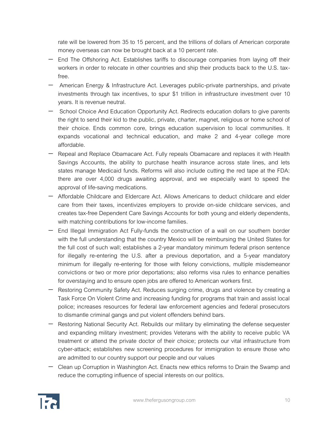rate will be lowered from 35 to 15 percent, and the trillions of dollars of American corporate money overseas can now be brought back at a 10 percent rate.

- End The Offshoring Act. Establishes tariffs to discourage companies from laying off their workers in order to relocate in other countries and ship their products back to the U.S. taxfree.
- American Energy & Infrastructure Act. Leverages public-private partnerships, and private investments through tax incentives, to spur \$1 trillion in infrastructure investment over 10 years. It is revenue neutral.
- $-$  School Choice And Education Opportunity Act. Redirects education dollars to give parents the right to send their kid to the public, private, charter, magnet, religious or home school of their choice. Ends common core, brings education supervision to local communities. It expands vocational and technical education, and make 2 and 4-year college more affordable.
- Repeal and Replace Obamacare Act. Fully repeals Obamacare and replaces it with Health Savings Accounts, the ability to purchase health insurance across state lines, and lets states manage Medicaid funds. Reforms will also include cutting the red tape at the FDA: there are over 4,000 drugs awaiting approval, and we especially want to speed the approval of life-saving medications.
- Affordable Childcare and Eldercare Act. Allows Americans to deduct childcare and elder care from their taxes, incentivizes employers to provide on-side childcare services, and creates tax-free Dependent Care Savings Accounts for both young and elderly dependents, with matching contributions for low-income families.
- End Illegal Immigration Act Fully-funds the construction of a wall on our southern border with the full understanding that the country Mexico will be reimbursing the United States for the full cost of such wall; establishes a 2-year mandatory minimum federal prison sentence for illegally re-entering the U.S. after a previous deportation, and a 5-year mandatory minimum for illegally re-entering for those with felony convictions, multiple misdemeanor convictions or two or more prior deportations; also reforms visa rules to enhance penalties for overstaying and to ensure open jobs are offered to American workers first.
- Restoring Community Safety Act. Reduces surging crime, drugs and violence by creating a Task Force On Violent Crime and increasing funding for programs that train and assist local police; increases resources for federal law enforcement agencies and federal prosecutors to dismantle criminal gangs and put violent offenders behind bars.
- Restoring National Security Act. Rebuilds our military by eliminating the defense sequester and expanding military investment; provides Veterans with the ability to receive public VA treatment or attend the private doctor of their choice; protects our vital infrastructure from cyber-attack; establishes new screening procedures for immigration to ensure those who are admitted to our country support our people and our values
- Clean up Corruption in Washington Act. Enacts new ethics reforms to Drain the Swamp and reduce the corrupting influence of special interests on our politics.

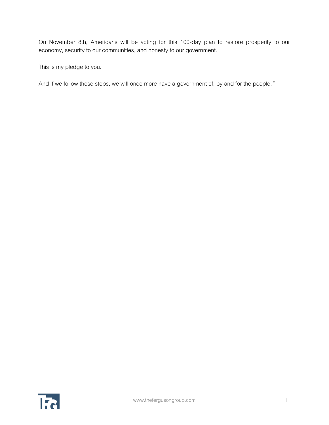On November 8th, Americans will be voting for this 100-day plan to restore prosperity to our economy, security to our communities, and honesty to our government.

This is my pledge to you.

And if we follow these steps, we will once more have a government of, by and for the people.*"*

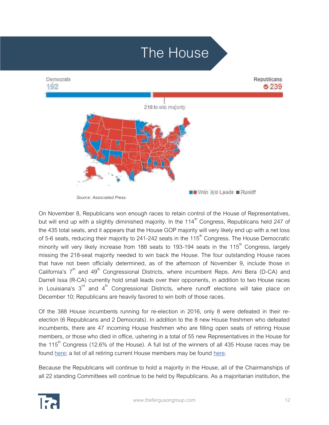# The HouseRepublicans Democrats 192 ⊘239 218 to win majority **BB** Won **BB** Leads **B** Runoff

 *Source: Associated Press.* 

On November 8, Republicans won enough races to retain control of the House of Representatives, but will end up with a slightly diminished majority. In the  $114<sup>th</sup>$  Congress, Republicans held 247 of the 435 total seats, and it appears that the House GOP majority will very likely end up with a net loss of 5-6 seats, reducing their majority to 241-242 seats in the  $115<sup>th</sup>$  Congress. The House Democratic minority will very likely increase from 188 seats to 193-194 seats in the 115<sup>th</sup> Congress, largely missing the 218-seat majority needed to win back the House. The four outstanding House races that have not been officially determined, as of the afternoon of November 9, include those in California's  $7<sup>th</sup>$  and  $49<sup>th</sup>$  Congressional Districts, where incumbent Reps. Ami Bera (D-CA) and Darrell Issa (R-CA) currently hold small leads over their opponents, in addition to two House races in Louisiana's  $3<sup>rd</sup>$  and  $4<sup>th</sup>$  Congressional Districts, where runoff elections will take place on December 10; Republicans are heavily favored to win both of those races.

Of the 388 House incumbents running for re-election in 2016, only 8 were defeated in their reelection (6 Republicans and 2 Democrats). In addition to the 8 new House freshmen who defeated incumbents, there are 47 incoming House freshmen who are filling open seats of retiring House members, or those who died in office, ushering in a total of 55 new Representatives in the House for the  $115<sup>th</sup>$  Congress (12.6% of the House). A full list of the winners of all 435 House races may be found [here;](http://www.nytimes.com/elections/results/house?action=click&pgtype=Homepage&clickSource=story-heading&module=span-abc-region®ion=span-abc-region&WT.nav=span-abc-region) a list of all retiring current House members may be found [here.](http://data.rollcall.com/media/casualtylists/)

Because the Republicans will continue to hold a majority in the House, all of the Chairmanships of all 22 standing Committees will continue to be held by Republicans. As a majoritarian institution, the

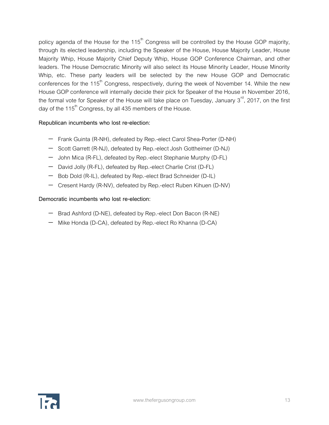policy agenda of the House for the  $115<sup>th</sup>$  Congress will be controlled by the House GOP majority, through its elected leadership, including the Speaker of the House, House Majority Leader, House Majority Whip, House Majority Chief Deputy Whip, House GOP Conference Chairman, and other leaders. The House Democratic Minority will also select its House Minority Leader, House Minority Whip, etc. These party leaders will be selected by the new House GOP and Democratic conferences for the 115<sup>th</sup> Congress, respectively, during the week of November 14. While the new House GOP conference will internally decide their pick for Speaker of the House in November 2016, the formal vote for Speaker of the House will take place on Tuesday, January  $3<sup>rd</sup>$ , 2017, on the first day of the 115<sup>th</sup> Congress, by all 435 members of the House.

### **Republican incumbents who lost re-election:**

- Frank Guinta (R-NH), defeated by Rep.-elect Carol Shea-Porter (D-NH)
- Scott Garrett (R-NJ), defeated by Rep.-elect Josh Gottheimer (D-NJ)
- John Mica (R-FL), defeated by Rep.-elect Stephanie Murphy (D-FL)
- David Jolly (R-FL), defeated by Rep.-elect Charlie Crist (D-FL)
- Bob Dold (R-IL), defeated by Rep.-elect Brad Schneider (D-IL)
- Cresent Hardy (R-NV), defeated by Rep.-elect Ruben Kihuen (D-NV)

### **Democratic incumbents who lost re-election:**

- Brad Ashford (D-NE), defeated by Rep.-elect Don Bacon (R-NE)
- Mike Honda (D-CA), defeated by Rep.-elect Ro Khanna (D-CA)

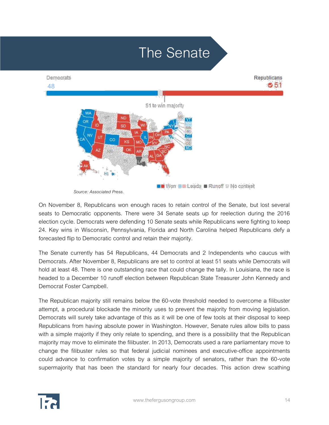

 *Source: Associated Press.* 

On November 8, Republicans won enough races to retain control of the Senate, but lost several seats to Democratic opponents. There were 34 Senate seats up for reelection during the 2016 election cycle. Democrats were defending 10 Senate seats while Republicans were fighting to keep 24. Key wins in Wisconsin, Pennsylvania, Florida and North Carolina helped Republicans defy a forecasted flip to Democratic control and retain their majority.

The Senate currently has 54 Republicans, 44 Democrats and 2 Independents who caucus with Democrats. After November 8, Republicans are set to control at least 51 seats while Democrats will hold at least 48. There is one outstanding race that could change the tally. In Louisiana, the race is headed to a December 10 runoff election between Republican State Treasurer John Kennedy and Democrat Foster Campbell.

The Republican majority still remains below the 60-vote threshold needed to overcome a filibuster attempt, a procedural blockade the minority uses to prevent the majority from moving legislation. Democrats will surely take advantage of this as it will be one of few tools at their disposal to keep Republicans from having absolute power in Washington. However, Senate rules allow bills to pass with a simple majority if they only relate to spending, and there is a possibility that the Republican majority may move to eliminate the filibuster. In 2013, Democrats used a rare parliamentary move to change the filibuster rules so that federal judicial nominees and executive-office appointments could advance to confirmation votes by a simple majority of senators, rather than the 60-vote supermajority that has been the standard for nearly four decades. This action drew scathing

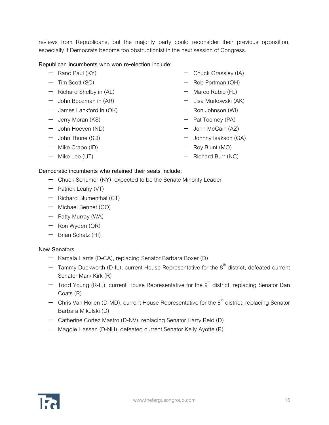reviews from Republicans, but the majority party could reconsider their previous opposition, especially if Democrats become too obstructionist in the next session of Congress.

### **Republican incumbents who won re-election include:**

- $-$  Rand Paul (KY)
- $-$  Tim Scott (SC)
- $-$  Richard Shelby in  $(AL)$
- John Boozman in (AR)
- $-$  James Lankford in (OK)
- Jerry Moran (KS)
- John Hoeven (ND)
- John Thune (SD)
- Mike Crapo (ID)
- $-$  Mike Lee (UT)
- Chuck Grassley (IA)
- Rob Portman (OH)
- $-$  Marco Rubio (FL)
- Lisa Murkowski (AK)
- Ron Johnson (WI)
- $-$  Pat Toomey (PA)
- $-$  John McCain (AZ)
- Johnny Isakson (GA)
- Roy Blunt (MO)
- $-$  Richard Burr (NC)

### **Democratic incumbents who retained their seats include:**

- Chuck Schumer (NY), expected to be the Senate Minority Leader
- Patrick Leahy (VT)
- $-$  Richard Blumenthal (CT)
- Michael Bennet (CO)
- Patty Murray (WA)
- $-$  Ron Wyden (OR)
- $-$  Brian Schatz (HI)

#### **New Senators**

- Kamala Harris (D-CA), replacing Senator Barbara Boxer (D)
- $-$  Tammy Duckworth (D-IL), current House Representative for the  $8<sup>th</sup>$  district, defeated current Senator Mark Kirk (R)
- $-$  Todd Young (R-IL), current House Representative for the  $9<sup>th</sup>$  district, replacing Senator Dan Coats (R)
- $-$  Chris Van Hollen (D-MD), current House Representative for the  $8<sup>th</sup>$  district, replacing Senator Barbara Mikulski (D)
- Catherine Cortez Mastro (D-NV), replacing Senator Harry Reid (D)
- Maggie Hassan (D-NH), defeated current Senator Kelly Ayotte (R)

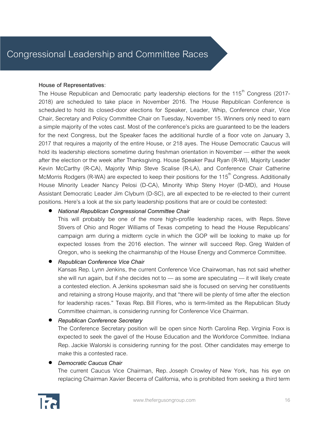### **House of Representatives**:

The House Republican and Democratic party leadership elections for the 115<sup>th</sup> Congress (2017-2018) are scheduled to take place in November 2016. The House Republican Conference is scheduled to hold its closed-door elections for Speaker, Leader, Whip, Conference chair, Vice Chair, Secretary and Policy Committee Chair on Tuesday, November 15. Winners only need to earn a simple majority of the votes cast. Most of the conference's picks are guaranteed to be the leaders for the next Congress, but the Speaker faces the additional hurdle of a floor vote on January 3, 2017 that requires a majority of the entire House, or 218 ayes. The House Democratic Caucus will hold its leadership elections sometime during freshman orientation in November — either the week after the election or the week after Thanksgiving. House Speaker Paul Ryan (R-WI), Majority Leader Kevin McCarthy (R-CA), Majority Whip Steve Scalise (R-LA), and Conference Chair Catherine McMorris Rodgers (R-WA) are expected to keep their positions for the  $115<sup>th</sup>$  Congress. Additionally House Minority Leader Nancy Pelosi (D-CA), Minority Whip Steny Hoyer (D-MD), and House Assistant Democratic Leader Jim Clyburn (D-SC), are all expected to be re-elected to their current positions. Here's a look at the six party leadership positions that are or could be contested:

### *National Republican Congressional Committee Chair*

This will probably be one of the more high-profile leadership races, with Reps. Steve Stivers of Ohio and Roger Williams of Texas competing to head the House Republicans' campaign arm during a midterm cycle in which the GOP will be looking to make up for expected losses from the 2016 election. The winner will succeed Rep. Greg Walden of Oregon, who is seeking the chairmanship of the House Energy and Commerce Committee.

### *Republican Conference Vice Chair*

Kansas Rep. Lynn Jenkins, the current Conference Vice Chairwoman, has not said whether she will run again, but if she decides not to — as some are speculating — it will likely create a contested election. A Jenkins spokesman said she is focused on serving her constituents and retaining a strong House majority, and that "there will be plenty of time after the election for leadership races." Texas Rep. Bill Flores, who is term-limited as the Republican Study Committee chairman, is considering running for Conference Vice Chairman.

### *Republican Conference Secretary*

The Conference Secretary position will be open since North Carolina Rep. Virginia Foxx is expected to seek the gavel of the House Education and the Workforce Committee. Indiana Rep. Jackie Walorski is considering running for the post. Other candidates may emerge to make this a contested race.

#### *Democratic Caucus Chair*

The current Caucus Vice Chairman, Rep. Joseph Crowley of New York, has his eye on replacing Chairman Xavier Becerra of California, who is prohibited from seeking a third term

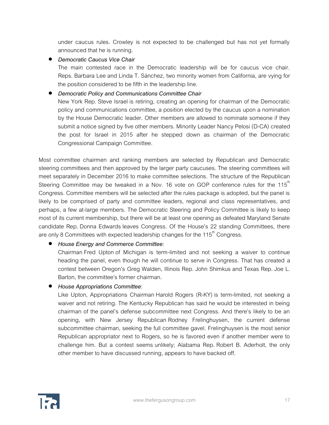under caucus rules. Crowley is not expected to be challenged but has not yet formally announced that he is running.

*Democratic Caucus Vice Chair*

The main contested race in the Democratic leadership will be for caucus vice chair. Reps. Barbara Lee and Linda T. Sánchez, two minority women from California, are vying for the position considered to be fifth in the leadership line.

*Democratic Policy and Communications Committee Chair*

New York Rep. Steve Israel is retiring, creating an opening for chairman of the Democratic policy and communications committee, a position elected by the caucus upon a nomination by the House Democratic leader. Other members are allowed to nominate someone if they submit a notice signed by five other members. Minority Leader Nancy Pelosi (D-CA) created the post for Israel in 2015 after he stepped down as chairman of the Democratic Congressional Campaign Committee.

Most committee chairmen and ranking members are selected by Republican and Democratic steering committees and then approved by the larger party caucuses. The steering committees will meet separately in December 2016 to make committee selections. The structure of the Republican Steering Committee may be tweaked in a Nov. 16 vote on GOP conference rules for the  $115<sup>th</sup>$ Congress. Committee members will be selected after the rules package is adopted, but the panel is likely to be comprised of party and committee leaders, regional and class representatives, and perhaps, a few at-large members. The Democratic Steering and Policy Committee is likely to keep most of its current membership, but there will be at least one opening as defeated Maryland Senate candidate Rep. Donna Edwards leaves Congress. Of the House's 22 standing Committees, there are only 8 Committees with expected leadership changes for the 115<sup>th</sup> Congress.

### *House Energy and Commerce Committee*:

Chairman Fred Upton of Michigan is term-limited and not seeking a waiver to continue heading the panel, even though he will continue to serve in Congress. That has created a contest between Oregon's Greg Walden, Illinois Rep. John Shimkus and Texas Rep. Joe L. Barton, the committee's former chairman.

*House Appropriations Committee*:

Like Upton, Appropriations Chairman Harold Rogers (R-KY) is term-limited, not seeking a waiver and not retiring. The Kentucky Republican has said he would be interested in being chairman of the panel's defense subcommittee next Congress. And there's likely to be an opening, with New Jersey Republican Rodney Frelinghuysen, the current defense subcommittee chairman, seeking the full committee gavel. Frelinghuysen is the most senior Republican appropriator next to Rogers, so he is favored even if another member were to challenge him. But a contest seems unlikely; Alabama Rep. Robert B. Aderholt, the only other member to have discussed running, appears to have backed off.

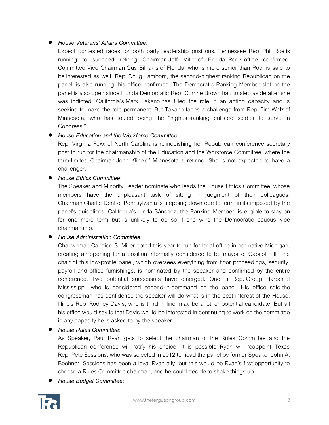### *House Veterans' Affairs Committee*:

Expect contested races for both party leadership positions. Tennessee Rep. Phil Roeis running to succeed retiring Chairman Jeff Miller of Florida, Roe's office confirmed. Committee Vice Chairman Gus Bilirakis of Florida, who is more senior than Roe, is said to be interested as well. Rep. Doug Lamborn, the second-highest ranking Republican on the panel, is also running, his office confirmed. The Democratic Ranking Member slot on the panel is also open since Florida Democratic Rep. Corrine Brown had to step aside after she was indicted. California's Mark Takano has filled the role in an acting capacity and is seeking to make the role permanent. But Takano faces a challenge from Rep. Tim Walz of Minnesota, who has touted being the "highest-ranking enlisted soldier to serve in Congress."

### *House Education and the Workforce Committee*:

Rep. Virginia Foxx of North Carolina is relinquishing her Republican conference secretary post to run for the chairmanship of the Education and the Workforce Committee, where the term-limited Chairman John Kline of Minnesota is retiring. She is not expected to have a challenger.

### *House Ethics Committee*:

The Speaker and Minority Leader nominate who leads the House Ethics Committee, whose members have the unpleasant task of sitting in judgment of their colleagues. Chairman Charlie Dent of Pennsylvania is stepping down due to term limits imposed by the panel's guidelines. California's Linda Sánchez, the Ranking Member, is eligible to stay on for one more term but is unlikely to do so if she wins the Democratic caucus vice chairmanship.

### *House Administration Committee*:

Chairwoman Candice S. Miller opted this year to run for local office in her native Michigan, creating an opening for a position informally considered to be mayor of Capitol Hill. The chair of this low-profile panel, which oversees everything from floor proceedings, security, payroll and office furnishings, is nominated by the speaker and confirmed by the entire conference. Two potential successors have emerged. One is Rep. Gregg Harper of Mississippi, who is considered second-in-command on the panel. His office said the congressman has confidence the speaker will do what is in the best interest of the House. Illinois Rep. Rodney Davis, who is third in line, may be another potential candidate. But all his office would say is that Davis would be interested in continuing to work on the committee in any capacity he is asked to by the speaker.

*House Rules Committee*:

As Speaker, Paul Ryan gets to select the chairman of the Rules Committee and the Republican conference will ratify his choice. It is possible Ryan will reappoint Texas Rep. Pete Sessions, who was selected in 2012 to head the panel by former Speaker John A. Boehner. Sessions has been a loyal Ryan ally, but this would be Ryan's first opportunity to choose a Rules Committee chairman, and he could decide to shake things up.

*House Budget Committee*:

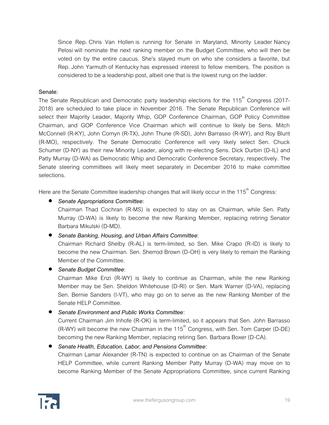Since Rep. Chris Van Hollen is running for Senate in Maryland, Minority Leader Nancy Pelosi will nominate the next ranking member on the Budget Committee, who will then be voted on by the entire caucus. She's stayed mum on who she considers a favorite, but Rep. John Yarmuth of Kentucky has expressed interest to fellow members. The position is considered to be a leadership post, albeit one that is the lowest rung on the ladder.

### **Senate**:

The Senate Republican and Democratic party leadership elections for the 115<sup>th</sup> Congress (2017-2018) are scheduled to take place in November 2016. The Senate Republican Conference will select their Majority Leader, Majority Whip, GOP Conference Chairman, GOP Policy Committee Chairman, and GOP Conference Vice Chairman which will continue to likely be Sens. Mitch McConnell (R-KY), John Cornyn (R-TX), John Thune (R-SD), John Barrasso (R-WY), and Roy Blunt (R-MO), respectively. The Senate Democratic Conference will very likely select Sen. Chuck Schumer (D-NY) as their new Minority Leader, along with re-electing Sens. Dick Durbin (D-IL) and Patty Murray (D-WA) as Democratic Whip and Democratic Conference Secretary, respectively. The Senate steering committees will likely meet separately in December 2016 to make committee selections.

Here are the Senate Committee leadership changes that will likely occur in the 115<sup>th</sup> Congress:

### *Senate Appropriations Committee*:

Chairman Thad Cochran (R-MS) is expected to stay on as Chairman, while Sen. Patty Murray (D-WA) is likely to become the new Ranking Member, replacing retiring Senator Barbara Mikulski (D-MD).

### *Senate Banking, Housing, and Urban Affairs Committee*:

Chairman Richard Shelby (R-AL) is term-limited, so Sen. Mike Crapo (R-ID) is likely to become the new Chairman. Sen. Sherrod Brown (D-OH) is very likely to remain the Ranking Member of the Committee.

### *Senate Budget Committee*:

Chairman Mike Enzi (R-WY) is likely to continue as Chairman, while the new Ranking Member may be Sen. Sheldon Whitehouse (D-RI) or Sen. Mark Warner (D-VA), replacing Sen. Bernie Sanders (I-VT), who may go on to serve as the new Ranking Member of the Senate HELP Committee.

### *Senate Environment and Public Works Committee*:

Current Chairman Jim Inhofe (R-OK) is term-limited, so it appears that Sen. John Barrasso  $(R-WY)$  will become the new Chairman in the 115<sup>th</sup> Congress, with Sen. Tom Carper (D-DE) becoming the new Ranking Member, replacing retiring Sen. Barbara Boxer (D-CA).

### *Senate Health, Education, Labor, and Pensions Committee***:**

Chairman Lamar Alexander (R-TN) is expected to continue on as Chairman of the Senate HELP Committee, while current Ranking Member Patty Murray (D-WA) may move on to become Ranking Member of the Senate Appropriations Committee, since current Ranking